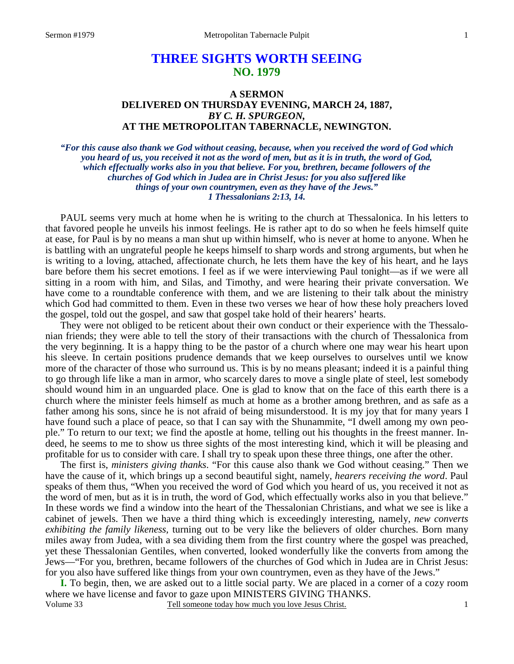# **THREE SIGHTS WORTH SEEING NO. 1979**

## **A SERMON DELIVERED ON THURSDAY EVENING, MARCH 24, 1887,**  *BY C. H. SPURGEON,*  **AT THE METROPOLITAN TABERNACLE, NEWINGTON.**

*"For this cause also thank we God without ceasing, because, when you received the word of God which you heard of us, you received it not as the word of men, but as it is in truth, the word of God, which effectually works also in you that believe. For you, brethren, became followers of the churches of God which in Judea are in Christ Jesus: for you also suffered like things of your own countrymen, even as they have of the Jews." 1 Thessalonians 2:13, 14.* 

PAUL seems very much at home when he is writing to the church at Thessalonica. In his letters to that favored people he unveils his inmost feelings. He is rather apt to do so when he feels himself quite at ease, for Paul is by no means a man shut up within himself, who is never at home to anyone. When he is battling with an ungrateful people he keeps himself to sharp words and strong arguments, but when he is writing to a loving, attached, affectionate church, he lets them have the key of his heart, and he lays bare before them his secret emotions. I feel as if we were interviewing Paul tonight—as if we were all sitting in a room with him, and Silas, and Timothy, and were hearing their private conversation. We have come to a roundtable conference with them, and we are listening to their talk about the ministry which God had committed to them. Even in these two verses we hear of how these holy preachers loved the gospel, told out the gospel, and saw that gospel take hold of their hearers' hearts.

They were not obliged to be reticent about their own conduct or their experience with the Thessalonian friends; they were able to tell the story of their transactions with the church of Thessalonica from the very beginning. It is a happy thing to be the pastor of a church where one may wear his heart upon his sleeve. In certain positions prudence demands that we keep ourselves to ourselves until we know more of the character of those who surround us. This is by no means pleasant; indeed it is a painful thing to go through life like a man in armor, who scarcely dares to move a single plate of steel, lest somebody should wound him in an unguarded place. One is glad to know that on the face of this earth there is a church where the minister feels himself as much at home as a brother among brethren, and as safe as a father among his sons, since he is not afraid of being misunderstood. It is my joy that for many years I have found such a place of peace, so that I can say with the Shunammite, "I dwell among my own people." To return to our text; we find the apostle at home, telling out his thoughts in the freest manner. Indeed, he seems to me to show us three sights of the most interesting kind, which it will be pleasing and profitable for us to consider with care. I shall try to speak upon these three things, one after the other.

The first is, *ministers giving thanks*. "For this cause also thank we God without ceasing." Then we have the cause of it, which brings up a second beautiful sight, namely, *hearers receiving the word*. Paul speaks of them thus, "When you received the word of God which you heard of us, you received it not as the word of men, but as it is in truth, the word of God, which effectually works also in you that believe." In these words we find a window into the heart of the Thessalonian Christians, and what we see is like a cabinet of jewels. Then we have a third thing which is exceedingly interesting, namely, *new converts exhibiting the family likeness,* turning out to be very like the believers of older churches. Born many miles away from Judea, with a sea dividing them from the first country where the gospel was preached, yet these Thessalonian Gentiles, when converted, looked wonderfully like the converts from among the Jews—"For you, brethren, became followers of the churches of God which in Judea are in Christ Jesus: for you also have suffered like things from your own countrymen, even as they have of the Jews."

Volume 33 Tell someone today how much you love Jesus Christ. **I.** To begin, then, we are asked out to a little social party. We are placed in a corner of a cozy room where we have license and favor to gaze upon MINISTERS GIVING THANKS.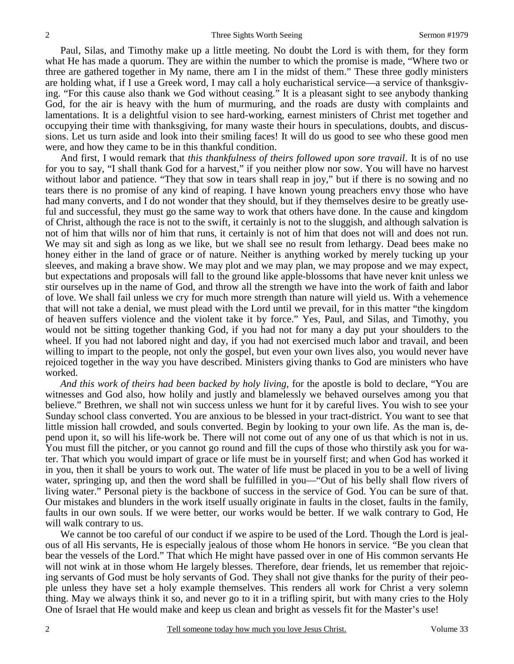Paul, Silas, and Timothy make up a little meeting. No doubt the Lord is with them, for they form what He has made a quorum. They are within the number to which the promise is made, "Where two or three are gathered together in My name, there am I in the midst of them." These three godly ministers are holding what, if I use a Greek word, I may call a holy eucharistical service—a service of thanksgiving. "For this cause also thank we God without ceasing." It is a pleasant sight to see anybody thanking God, for the air is heavy with the hum of murmuring, and the roads are dusty with complaints and lamentations. It is a delightful vision to see hard-working, earnest ministers of Christ met together and occupying their time with thanksgiving, for many waste their hours in speculations, doubts, and discussions. Let us turn aside and look into their smiling faces! It will do us good to see who these good men were, and how they came to be in this thankful condition.

And first, I would remark that *this thankfulness of theirs followed upon sore travail*. It is of no use for you to say, "I shall thank God for a harvest," if you neither plow nor sow. You will have no harvest without labor and patience. "They that sow in tears shall reap in joy," but if there is no sowing and no tears there is no promise of any kind of reaping. I have known young preachers envy those who have had many converts, and I do not wonder that they should, but if they themselves desire to be greatly useful and successful, they must go the same way to work that others have done. In the cause and kingdom of Christ, although the race is not to the swift, it certainly is not to the sluggish, and although salvation is not of him that wills nor of him that runs, it certainly is not of him that does not will and does not run. We may sit and sigh as long as we like, but we shall see no result from lethargy. Dead bees make no honey either in the land of grace or of nature. Neither is anything worked by merely tucking up your sleeves, and making a brave show. We may plot and we may plan, we may propose and we may expect, but expectations and proposals will fall to the ground like apple-blossoms that have never knit unless we stir ourselves up in the name of God, and throw all the strength we have into the work of faith and labor of love. We shall fail unless we cry for much more strength than nature will yield us. With a vehemence that will not take a denial, we must plead with the Lord until we prevail, for in this matter "the kingdom of heaven suffers violence and the violent take it by force." Yes, Paul, and Silas, and Timothy, you would not be sitting together thanking God, if you had not for many a day put your shoulders to the wheel. If you had not labored night and day, if you had not exercised much labor and travail, and been willing to impart to the people, not only the gospel, but even your own lives also, you would never have rejoiced together in the way you have described. Ministers giving thanks to God are ministers who have worked.

*And this work of theirs had been backed by holy living,* for the apostle is bold to declare, "You are witnesses and God also, how holily and justly and blamelessly we behaved ourselves among you that believe." Brethren, we shall not win success unless we hunt for it by careful lives. You wish to see your Sunday school class converted. You are anxious to be blessed in your tract-district. You want to see that little mission hall crowded, and souls converted. Begin by looking to your own life. As the man is, depend upon it, so will his life-work be. There will not come out of any one of us that which is not in us. You must fill the pitcher, or you cannot go round and fill the cups of those who thirstily ask you for water. That which you would impart of grace or life must be in yourself first; and when God has worked it in you, then it shall be yours to work out. The water of life must be placed in you to be a well of living water, springing up, and then the word shall be fulfilled in you—"Out of his belly shall flow rivers of living water." Personal piety is the backbone of success in the service of God. You can be sure of that. Our mistakes and blunders in the work itself usually originate in faults in the closet, faults in the family, faults in our own souls. If we were better, our works would be better. If we walk contrary to God, He will walk contrary to us.

We cannot be too careful of our conduct if we aspire to be used of the Lord. Though the Lord is jealous of all His servants, He is especially jealous of those whom He honors in service. "Be you clean that bear the vessels of the Lord." That which He might have passed over in one of His common servants He will not wink at in those whom He largely blesses. Therefore, dear friends, let us remember that rejoicing servants of God must be holy servants of God. They shall not give thanks for the purity of their people unless they have set a holy example themselves. This renders all work for Christ a very solemn thing. May we always think it so, and never go to it in a trifling spirit, but with many cries to the Holy One of Israel that He would make and keep us clean and bright as vessels fit for the Master's use!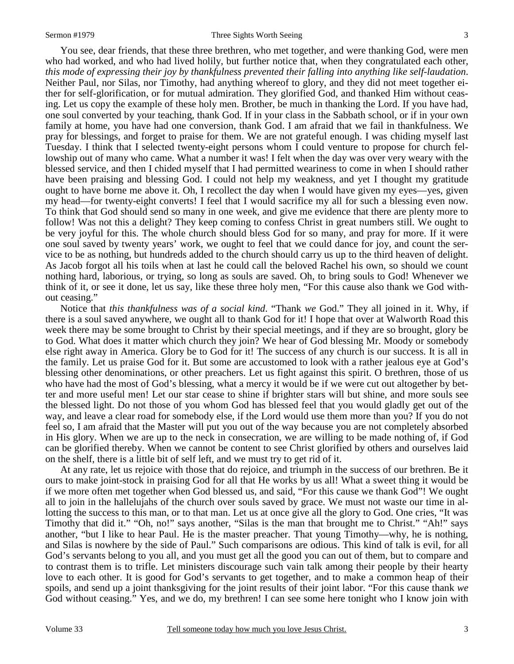#### Sermon #1979 **Sermon #1979** Three Sights Worth Seeing 3

You see, dear friends, that these three brethren, who met together, and were thanking God, were men who had worked, and who had lived holily, but further notice that, when they congratulated each other, *this mode of expressing their joy by thankfulness prevented their falling into anything like self-laudation*. Neither Paul, nor Silas, nor Timothy, had anything whereof to glory, and they did not meet together either for self-glorification, or for mutual admiration. They glorified God, and thanked Him without ceasing. Let us copy the example of these holy men. Brother, be much in thanking the Lord. If you have had, one soul converted by your teaching, thank God. If in your class in the Sabbath school, or if in your own family at home, you have had one conversion, thank God. I am afraid that we fail in thankfulness. We pray for blessings, and forget to praise for them. We are not grateful enough. I was chiding myself last Tuesday. I think that I selected twenty-eight persons whom I could venture to propose for church fellowship out of many who came. What a number it was! I felt when the day was over very weary with the blessed service, and then I chided myself that I had permitted weariness to come in when I should rather have been praising and blessing God. I could not help my weakness, and yet I thought my gratitude ought to have borne me above it. Oh, I recollect the day when I would have given my eyes—yes, given my head—for twenty-eight converts! I feel that I would sacrifice my all for such a blessing even now. To think that God should send so many in one week, and give me evidence that there are plenty more to follow! Was not this a delight? They keep coming to confess Christ in great numbers still. We ought to be very joyful for this. The whole church should bless God for so many, and pray for more. If it were one soul saved by twenty years' work, we ought to feel that we could dance for joy, and count the service to be as nothing, but hundreds added to the church should carry us up to the third heaven of delight. As Jacob forgot all his toils when at last he could call the beloved Rachel his own, so should we count nothing hard, laborious, or trying, so long as souls are saved. Oh, to bring souls to God! Whenever we think of it, or see it done, let us say, like these three holy men, "For this cause also thank we God without ceasing."

Notice that *this thankfulness was of a social kind*. "Thank *we* God." They all joined in it. Why, if there is a soul saved anywhere, we ought all to thank God for it! I hope that over at Walworth Road this week there may be some brought to Christ by their special meetings, and if they are so brought, glory be to God. What does it matter which church they join? We hear of God blessing Mr. Moody or somebody else right away in America. Glory be to God for it! The success of any church is our success. It is all in the family. Let us praise God for it. But some are accustomed to look with a rather jealous eye at God's blessing other denominations, or other preachers. Let us fight against this spirit. O brethren, those of us who have had the most of God's blessing, what a mercy it would be if we were cut out altogether by better and more useful men! Let our star cease to shine if brighter stars will but shine, and more souls see the blessed light. Do not those of you whom God has blessed feel that you would gladly get out of the way, and leave a clear road for somebody else, if the Lord would use them more than you? If you do not feel so, I am afraid that the Master will put you out of the way because you are not completely absorbed in His glory. When we are up to the neck in consecration, we are willing to be made nothing of, if God can be glorified thereby. When we cannot be content to see Christ glorified by others and ourselves laid on the shelf, there is a little bit of self left, and we must try to get rid of it.

At any rate, let us rejoice with those that do rejoice, and triumph in the success of our brethren. Be it ours to make joint-stock in praising God for all that He works by us all! What a sweet thing it would be if we more often met together when God blessed us, and said, "For this cause we thank God"! We ought all to join in the hallelujahs of the church over souls saved by grace. We must not waste our time in allotting the success to this man, or to that man. Let us at once give all the glory to God. One cries, "It was Timothy that did it." "Oh, no!" says another, "Silas is the man that brought me to Christ." "Ah!" says another, "but I like to hear Paul. He is the master preacher. That young Timothy—why, he is nothing, and Silas is nowhere by the side of Paul." Such comparisons are odious. This kind of talk is evil, for all God's servants belong to you all, and you must get all the good you can out of them, but to compare and to contrast them is to trifle. Let ministers discourage such vain talk among their people by their hearty love to each other. It is good for God's servants to get together, and to make a common heap of their spoils, and send up a joint thanksgiving for the joint results of their joint labor. "For this cause thank *we*  God without ceasing." Yes, and we do, my brethren! I can see some here tonight who I know join with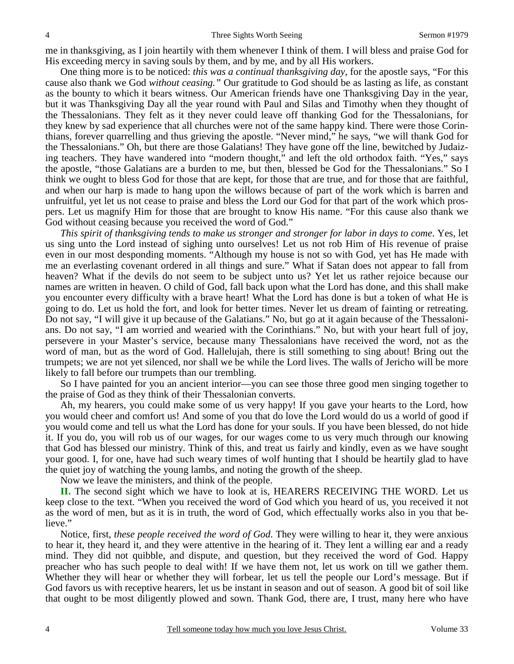me in thanksgiving, as I join heartily with them whenever I think of them. I will bless and praise God for His exceeding mercy in saving souls by them, and by me, and by all His workers.

One thing more is to be noticed: *this was a continual thanksgiving day,* for the apostle says, "For this cause also thank we God *without ceasing."* Our gratitude to God should be as lasting as life, as constant as the bounty to which it bears witness. Our American friends have one Thanksgiving Day in the year, but it was Thanksgiving Day all the year round with Paul and Silas and Timothy when they thought of the Thessalonians. They felt as it they never could leave off thanking God for the Thessalonians, for they knew by sad experience that all churches were not of the same happy kind. There were those Corinthians, forever quarrelling and thus grieving the apostle. "Never mind," he says, "we will thank God for the Thessalonians." Oh, but there are those Galatians! They have gone off the line, bewitched by Judaizing teachers. They have wandered into "modern thought," and left the old orthodox faith. "Yes," says the apostle, "those Galatians are a burden to me, but then, blessed be God for the Thessalonians." So I think we ought to bless God for those that are kept, for those that are true, and for those that are faithful, and when our harp is made to hang upon the willows because of part of the work which is barren and unfruitful, yet let us not cease to praise and bless the Lord our God for that part of the work which prospers. Let us magnify Him for those that are brought to know His name. "For this cause also thank we God without ceasing because you received the word of God."

*This spirit of thanksgiving tends to make us stronger and stronger for labor in days to come*. Yes, let us sing unto the Lord instead of sighing unto ourselves! Let us not rob Him of His revenue of praise even in our most desponding moments. "Although my house is not so with God, yet has He made with me an everlasting covenant ordered in all things and sure." What if Satan does not appear to fall from heaven? What if the devils do not seem to be subject unto us? Yet let us rather rejoice because our names are written in heaven. O child of God, fall back upon what the Lord has done, and this shall make you encounter every difficulty with a brave heart! What the Lord has done is but a token of what He is going to do. Let us hold the fort, and look for better times. Never let us dream of fainting or retreating. Do not say, "I will give it up because of the Galatians." No, but go at it again because of the Thessalonians. Do not say, "I am worried and wearied with the Corinthians." No, but with your heart full of joy, persevere in your Master's service, because many Thessalonians have received the word, not as the word of man, but as the word of God. Hallelujah, there is still something to sing about! Bring out the trumpets; we are not yet silenced, nor shall we be while the Lord lives. The walls of Jericho will be more likely to fall before our trumpets than our trembling.

So I have painted for you an ancient interior—you can see those three good men singing together to the praise of God as they think of their Thessalonian converts.

Ah, my hearers, you could make some of us very happy! If you gave your hearts to the Lord, how you would cheer and comfort us! And some of you that do love the Lord would do us a world of good if you would come and tell us what the Lord has done for your souls. If you have been blessed, do not hide it. If you do, you will rob us of our wages, for our wages come to us very much through our knowing that God has blessed our ministry. Think of this, and treat us fairly and kindly, even as we have sought your good. I, for one, have had such weary times of wolf hunting that I should be heartily glad to have the quiet joy of watching the young lambs, and noting the growth of the sheep.

Now we leave the ministers, and think of the people.

**II.** The second sight which we have to look at is, HEARERS RECEIVING THE WORD. Let us keep close to the text. "When you received the word of God which you heard of us, you received it not as the word of men, but as it is in truth, the word of God, which effectually works also in you that believe."

Notice, first, *these people received the word of God*. They were willing to hear it, they were anxious to hear it, they heard it, and they were attentive in the hearing of it. They lent a willing ear and a ready mind. They did not quibble, and dispute, and question, but they received the word of God. Happy preacher who has such people to deal with! If we have them not, let us work on till we gather them. Whether they will hear or whether they will forbear, let us tell the people our Lord's message. But if God favors us with receptive hearers, let us be instant in season and out of season. A good bit of soil like that ought to be most diligently plowed and sown. Thank God, there are, I trust, many here who have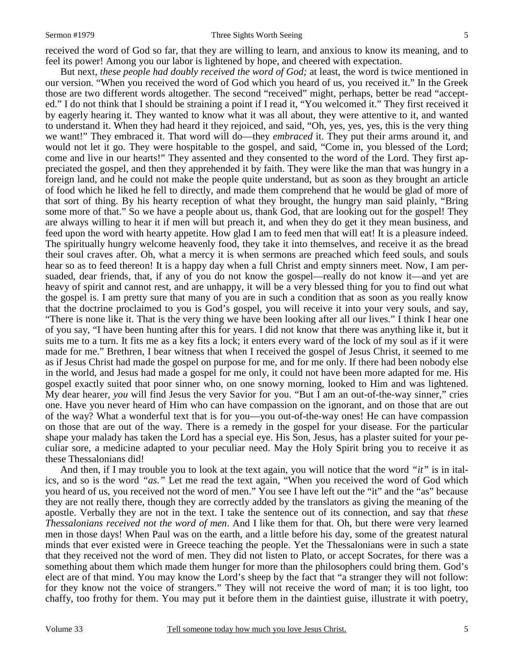### Sermon #1979 **Sermon #1979** Three Sights Worth Seeing 5

received the word of God so far, that they are willing to learn, and anxious to know its meaning, and to feel its power! Among you our labor is lightened by hope, and cheered with expectation.

But next, *these people had doubly received the word of God;* at least, the word is twice mentioned in our version. "When you received the word of God which you heard of us, you received it." In the Greek those are two different words altogether. The second "received" might, perhaps, better be read "accepted." I do not think that I should be straining a point if I read it, "You welcomed it." They first received it by eagerly hearing it. They wanted to know what it was all about, they were attentive to it, and wanted to understand it. When they had heard it they rejoiced, and said, "Oh, yes, yes, yes, this is the very thing we want!" They embraced it. That word will do—they *embraced* it. They put their arms around it, and would not let it go. They were hospitable to the gospel, and said, "Come in, you blessed of the Lord; come and live in our hearts!" They assented and they consented to the word of the Lord. They first appreciated the gospel, and then they apprehended it by faith. They were like the man that was hungry in a foreign land, and he could not make the people quite understand, but as soon as they brought an article of food which he liked he fell to directly, and made them comprehend that he would be glad of more of that sort of thing. By his hearty reception of what they brought, the hungry man said plainly, "Bring some more of that." So we have a people about us, thank God, that are looking out for the gospel! They are always willing to hear it if men will but preach it, and when they do get it they mean business, and feed upon the word with hearty appetite. How glad I am to feed men that will eat! It is a pleasure indeed. The spiritually hungry welcome heavenly food, they take it into themselves, and receive it as the bread their soul craves after. Oh, what a mercy it is when sermons are preached which feed souls, and souls hear so as to feed thereon! It is a happy day when a full Christ and empty sinners meet. Now, I am persuaded, dear friends, that, if any of you do not know the gospel—really do not know it—and yet are heavy of spirit and cannot rest, and are unhappy, it will be a very blessed thing for you to find out what the gospel is. I am pretty sure that many of you are in such a condition that as soon as you really know that the doctrine proclaimed to you is God's gospel, you will receive it into your very souls, and say, "There is none like it. That is the very thing we have been looking after all our lives." I think I hear one of you say, "I have been hunting after this for years. I did not know that there was anything like it, but it suits me to a turn. It fits me as a key fits a lock; it enters every ward of the lock of my soul as if it were made for me." Brethren, I bear witness that when I received the gospel of Jesus Christ, it seemed to me as if Jesus Christ had made the gospel on purpose for me, and for me only. If there had been nobody else in the world, and Jesus had made a gospel for me only, it could not have been more adapted for me. His gospel exactly suited that poor sinner who, on one snowy morning, looked to Him and was lightened. My dear hearer, *you* will find Jesus the very Savior for you. "But I am an out-of-the-way sinner," cries one. Have you never heard of Him who can have compassion on the ignorant, and on those that are out of the way? What a wonderful text that is for you—you out-of-the-way ones! He can have compassion on those that are out of the way. There is a remedy in the gospel for your disease. For the particular shape your malady has taken the Lord has a special eye. His Son, Jesus, has a plaster suited for your peculiar sore, a medicine adapted to your peculiar need. May the Holy Spirit bring you to receive it as these Thessalonians did!

And then, if I may trouble you to look at the text again, you will notice that the word *"it"* is in italics, and so is the word *"as."* Let me read the text again, "When you received the word of God which you heard of us, you received not the word of men." You see I have left out the "it" and the "as" because they are not really there, though they are correctly added by the translators as giving the meaning of the apostle. Verbally they are not in the text. I take the sentence out of its connection, and say that *these Thessalonians received not the word of men*. And I like them for that. Oh, but there were very learned men in those days! When Paul was on the earth, and a little before his day, some of the greatest natural minds that ever existed were in Greece teaching the people. Yet the Thessalonians were in such a state that they received not the word of men. They did not listen to Plato, or accept Socrates, for there was a something about them which made them hunger for more than the philosophers could bring them. God's elect are of that mind. You may know the Lord's sheep by the fact that "a stranger they will not follow: for they know not the voice of strangers." They will not receive the word of man; it is too light, too chaffy, too frothy for them. You may put it before them in the daintiest guise, illustrate it with poetry,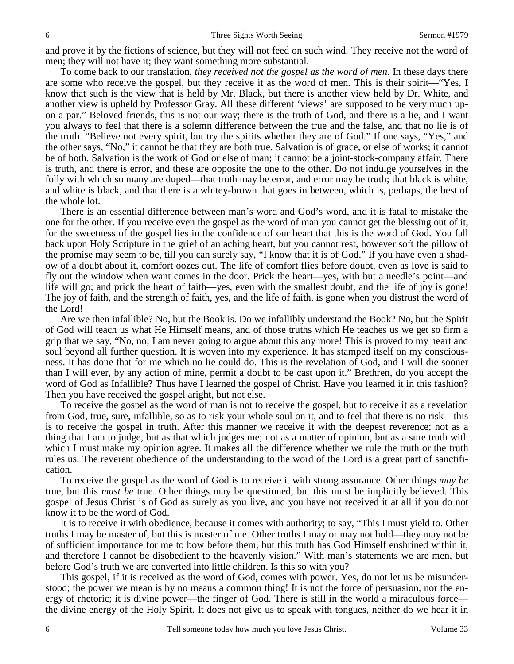and prove it by the fictions of science, but they will not feed on such wind. They receive not the word of men; they will not have it; they want something more substantial.

To come back to our translation, *they received not the gospel as the word of men*. In these days there are some who receive the gospel, but they receive it as the word of men. This is their spirit—"Yes, I know that such is the view that is held by Mr. Black, but there is another view held by Dr. White, and another view is upheld by Professor Gray. All these different 'views' are supposed to be very much upon a par." Beloved friends, this is not our way; there is the truth of God, and there is a lie, and I want you always to feel that there is a solemn difference between the true and the false, and that no lie is of the truth. "Believe not every spirit, but try the spirits whether they are of God." If one says, "Yes," and the other says, "No," it cannot be that they are both true. Salvation is of grace, or else of works; it cannot be of both. Salvation is the work of God or else of man; it cannot be a joint-stock-company affair. There is truth, and there is error, and these are opposite the one to the other. Do not indulge yourselves in the folly with which so many are duped—that truth may be error, and error may be truth; that black is white, and white is black, and that there is a whitey-brown that goes in between, which is, perhaps, the best of the whole lot.

There is an essential difference between man's word and God's word, and it is fatal to mistake the one for the other. If you receive even the gospel as the word of man you cannot get the blessing out of it, for the sweetness of the gospel lies in the confidence of our heart that this is the word of God. You fall back upon Holy Scripture in the grief of an aching heart, but you cannot rest, however soft the pillow of the promise may seem to be, till you can surely say, "I know that it is of God." If you have even a shadow of a doubt about it, comfort oozes out. The life of comfort flies before doubt, even as love is said to fly out the window when want comes in the door. Prick the heart—yes, with but a needle's point—and life will go; and prick the heart of faith—yes, even with the smallest doubt, and the life of joy is gone! The joy of faith, and the strength of faith, yes, and the life of faith, is gone when you distrust the word of the Lord!

Are we then infallible? No, but the Book is. Do we infallibly understand the Book? No, but the Spirit of God will teach us what He Himself means, and of those truths which He teaches us we get so firm a grip that we say, "No, no; I am never going to argue about this any more! This is proved to my heart and soul beyond all further question. It is woven into my experience. It has stamped itself on my consciousness. It has done that for me which no lie could do. This is the revelation of God, and I will die sooner than I will ever, by any action of mine, permit a doubt to be cast upon it." Brethren, do you accept the word of God as Infallible? Thus have I learned the gospel of Christ. Have you learned it in this fashion? Then you have received the gospel aright, but not else.

To receive the gospel as the word of man is not to receive the gospel, but to receive it as a revelation from God, true, sure, infallible, so as to risk your whole soul on it, and to feel that there is no risk—this is to receive the gospel in truth. After this manner we receive it with the deepest reverence; not as a thing that I am to judge, but as that which judges me; not as a matter of opinion, but as a sure truth with which I must make my opinion agree. It makes all the difference whether we rule the truth or the truth rules us. The reverent obedience of the understanding to the word of the Lord is a great part of sanctification.

To receive the gospel as the word of God is to receive it with strong assurance. Other things *may be*  true, but this *must be* true. Other things may be questioned, but this must be implicitly believed. This gospel of Jesus Christ is of God as surely as you live, and you have not received it at all if you do not know it to be the word of God.

It is to receive it with obedience, because it comes with authority; to say, "This I must yield to. Other truths I may be master of, but this is master of me. Other truths I may or may not hold—they may not be of sufficient importance for me to bow before them, but this truth has God Himself enshrined within it, and therefore I cannot be disobedient to the heavenly vision." With man's statements we are men, but before God's truth we are converted into little children. Is this so with you?

This gospel, if it is received as the word of God, comes with power. Yes, do not let us be misunderstood; the power we mean is by no means a common thing! It is not the force of persuasion, nor the energy of rhetoric; it is divine power—the finger of God. There is still in the world a miraculous force the divine energy of the Holy Spirit. It does not give us to speak with tongues, neither do we hear it in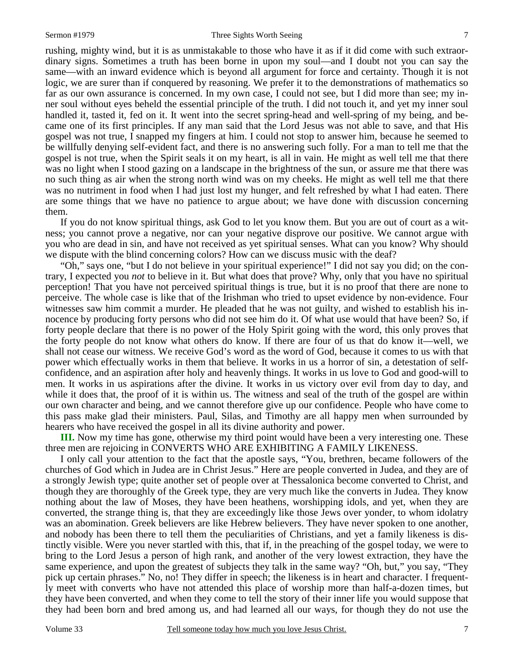rushing, mighty wind, but it is as unmistakable to those who have it as if it did come with such extraordinary signs. Sometimes a truth has been borne in upon my soul—and I doubt not you can say the same—with an inward evidence which is beyond all argument for force and certainty. Though it is not logic, we are surer than if conquered by reasoning. We prefer it to the demonstrations of mathematics so far as our own assurance is concerned. In my own case, I could not see, but I did more than see; my inner soul without eyes beheld the essential principle of the truth. I did not touch it, and yet my inner soul handled it, tasted it, fed on it. It went into the secret spring-head and well-spring of my being, and became one of its first principles. If any man said that the Lord Jesus was not able to save, and that His gospel was not true, I snapped my fingers at him. I could not stop to answer him, because he seemed to be willfully denying self-evident fact, and there is no answering such folly. For a man to tell me that the gospel is not true, when the Spirit seals it on my heart, is all in vain. He might as well tell me that there was no light when I stood gazing on a landscape in the brightness of the sun, or assure me that there was no such thing as air when the strong north wind was on my cheeks. He might as well tell me that there was no nutriment in food when I had just lost my hunger, and felt refreshed by what I had eaten. There are some things that we have no patience to argue about; we have done with discussion concerning them.

If you do not know spiritual things, ask God to let you know them. But you are out of court as a witness; you cannot prove a negative, nor can your negative disprove our positive. We cannot argue with you who are dead in sin, and have not received as yet spiritual senses. What can you know? Why should we dispute with the blind concerning colors? How can we discuss music with the deaf?

"Oh," says one, "but I do not believe in your spiritual experience!" I did not say you did; on the contrary, I expected you *not* to believe in it. But what does that prove? Why, only that you have no spiritual perception! That you have not perceived spiritual things is true, but it is no proof that there are none to perceive. The whole case is like that of the Irishman who tried to upset evidence by non-evidence. Four witnesses saw him commit a murder. He pleaded that he was not guilty, and wished to establish his innocence by producing forty persons who did not see him do it. Of what use would that have been? So, if forty people declare that there is no power of the Holy Spirit going with the word, this only proves that the forty people do not know what others do know. If there are four of us that do know it—well, we shall not cease our witness. We receive God's word as the word of God, because it comes to us with that power which effectually works in them that believe. It works in us a horror of sin, a detestation of selfconfidence, and an aspiration after holy and heavenly things. It works in us love to God and good-will to men. It works in us aspirations after the divine. It works in us victory over evil from day to day, and while it does that, the proof of it is within us. The witness and seal of the truth of the gospel are within our own character and being, and we cannot therefore give up our confidence. People who have come to this pass make glad their ministers. Paul, Silas, and Timothy are all happy men when surrounded by hearers who have received the gospel in all its divine authority and power.

**III.** Now my time has gone, otherwise my third point would have been a very interesting one. These three men are rejoicing in CONVERTS WHO ARE EXHIBITING A FAMILY LIKENESS.

I only call your attention to the fact that the apostle says, "You, brethren, became followers of the churches of God which in Judea are in Christ Jesus." Here are people converted in Judea, and they are of a strongly Jewish type; quite another set of people over at Thessalonica become converted to Christ, and though they are thoroughly of the Greek type, they are very much like the converts in Judea. They know nothing about the law of Moses, they have been heathens, worshipping idols, and yet, when they are converted, the strange thing is, that they are exceedingly like those Jews over yonder, to whom idolatry was an abomination. Greek believers are like Hebrew believers. They have never spoken to one another, and nobody has been there to tell them the peculiarities of Christians, and yet a family likeness is distinctly visible. Were you never startled with this, that if, in the preaching of the gospel today, we were to bring to the Lord Jesus a person of high rank, and another of the very lowest extraction, they have the same experience, and upon the greatest of subjects they talk in the same way? "Oh, but," you say, "They pick up certain phrases." No, no! They differ in speech; the likeness is in heart and character. I frequently meet with converts who have not attended this place of worship more than half-a-dozen times, but they have been converted, and when they come to tell the story of their inner life you would suppose that they had been born and bred among us, and had learned all our ways, for though they do not use the